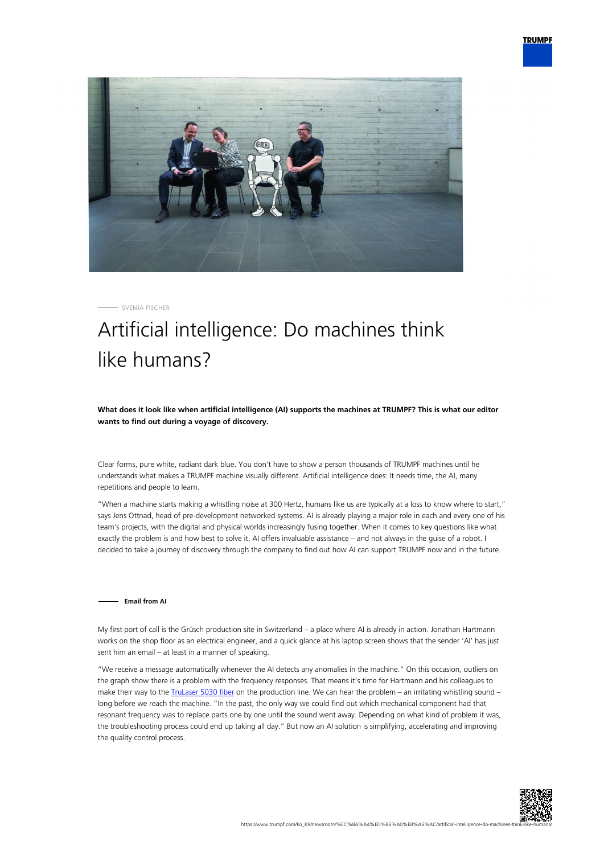



SVENJA FISCHER

# Artificial intelligence: Do machines think like humans?

**What does it look like when artificial intelligence (AI) supports the machines at TRUMPF? This is what our editor wants to find out during a voyage of discovery.**

Clear forms, pure white, radiant dark blue. You don't have to show a person thousands of TRUMPF machines until he understands what makes a TRUMPF machine visually different. Artificial intelligence does: It needs time, the AI, many repetitions and people to learn.

"When a machine starts making a whistling noise at 300 Hertz, humans like us are typically at a loss to know where to start," says Jens Ottnad, head of pre-development networked systems. AI is already playing a major role in each and every one of his team's projects, with the digital and physical worlds increasingly fusing together. When it comes to key questions like what exactly the problem is and how best to solve it, AI offers invaluable assistance – and not always in the guise of a robot. I decided to take a journey of discovery through the company to find out how AI can support TRUMPF now and in the future.

## **Email from AI**

My first port of call is the Grüsch production site in Switzerland – a place where AI is already in action. Jonathan Hartmann works on the shop floor as an electrical engineer, and a quick glance at his laptop screen shows that the sender 'AI' has just sent him an email – at least in a manner of speaking.

"We receive a message automatically whenever the AI detects any anomalies in the machine." On this occasion, outliers on the graph show there is a problem with the frequency responses. That means it's time for Hartmann and his colleagues to make their way to the *TruLaser 5030 fiber* on the production line. We can hear the problem – an irritating whistling sound – long before we reach the machine. "In the past, the only way we could find out which mechanical component had that resonant frequency was to replace parts one by one until the sound went away. Depending on what kind of problem it was, the troubleshooting process could end up taking all day." But now an AI solution is simplifying, accelerating and improving the quality control process.

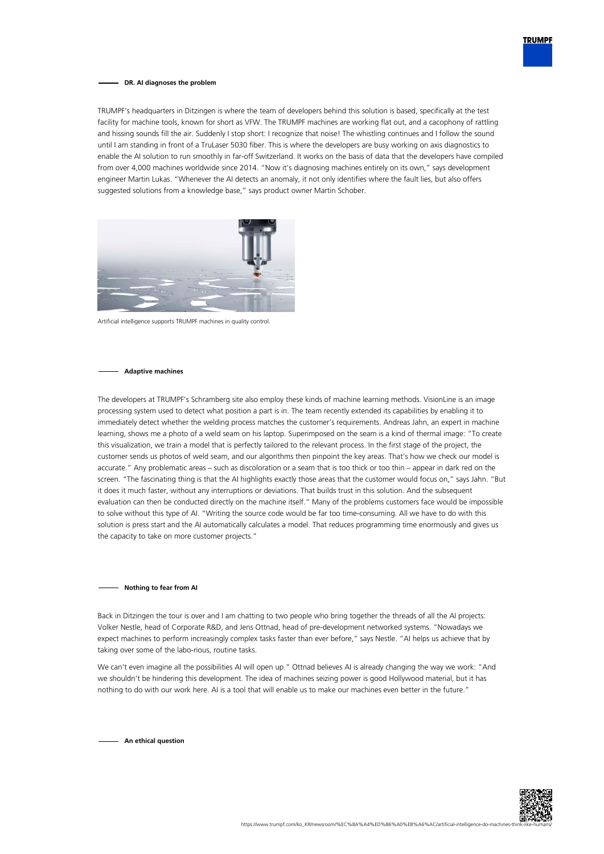

### **DR. AI diagnoses the problem**

TRUMPF's headquarters in Ditzingen is where the team of developers behind this solution is based, specifically at the test facility for machine tools, known for short as VFW. The TRUMPF machines are working flat out, and a cacophony of rattling and hissing sounds fill the air. Suddenly I stop short: I recognize that noise! The whistling continues and I follow the sound until I am standing in front of a TruLaser 5030 fiber. This is where the developers are busy working on axis diagnostics to enable the AI solution to run smoothly in far-off Switzerland. It works on the basis of data that the developers have compiled from over 4,000 machines worldwide since 2014. "Now it's diagnosing machines entirely on its own," says development engineer Martin Lukas. "Whenever the AI detects an anomaly, it not only identifies where the fault lies, but also offers suggested solutions from a knowledge base," says product owner Martin Schober.



Artificial intelligence supports TRUMPF machines in quality control.

## **Adaptive machines**

The developers at TRUMPF's Schramberg site also employ these kinds of machine learning methods. VisionLine is an image processing system used to detect what position a part is in. The team recently extended its capabilities by enabling it to immediately detect whether the welding process matches the customer's requirements. Andreas Jahn, an expert in machine learning, shows me a photo of a weld seam on his laptop. Superimposed on the seam is a kind of thermal image: "To create this visualization, we train a model that is perfectly tailored to the relevant process. In the first stage of the project, the customer sends us photos of weld seam, and our algorithms then pinpoint the key areas. That's how we check our model is accurate." Any problematic areas – such as discoloration or a seam that is too thick or too thin – appear in dark red on the screen. "The fascinating thing is that the AI highlights exactly those areas that the customer would focus on," says Jahn. "But it does it much faster, without any interruptions or deviations. That builds trust in this solution. And the subsequent evaluation can then be conducted directly on the machine itself." Many of the problems customers face would be impossible to solve without this type of AI. "Writing the source code would be far too time-consuming. All we have to do with this solution is press start and the AI automatically calculates a model. That reduces programming time enormously and gives us the capacity to take on more customer projects."

#### **Nothing to fear from AI**

Back in Ditzingen the tour is over and I am chatting to two people who bring together the threads of all the AI projects: Volker Nestle, head of Corporate R&D, and Jens Ottnad, head of pre-development networked systems. "Nowadays we expect machines to perform increasingly complex tasks faster than ever before," says Nestle. "AI helps us achieve that by taking over some of the labo-rious, routine tasks.

We can't even imagine all the possibilities AI will open up." Ottnad believes AI is already changing the way we work: "And we shouldn't be hindering this development. The idea of machines seizing power is good Hollywood material, but it has nothing to do with our work here. AI is a tool that will enable us to make our machines even better in the future."

**An ethical question**